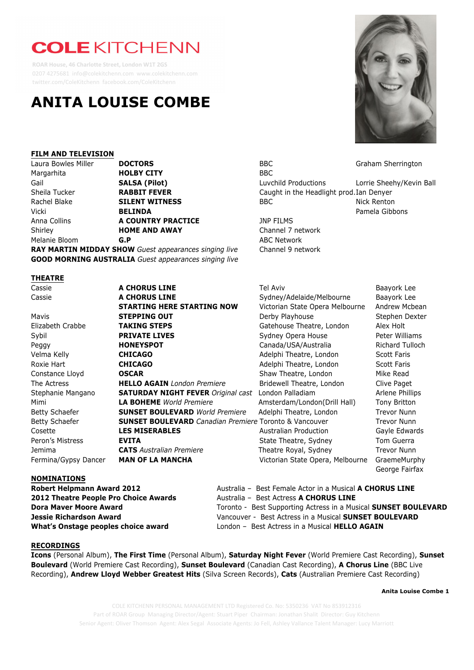# **COLE KITCHENN**

 **ROAR House, 46 Charlotte Street, London W1T 2GS** 0207 4275681 info@colekitchenn.com www.colekitchenn.com twitter.com/ColeKitchenn facebook.com/ColeKitchenn

# **ANITA LOUISE COMBE**

### **FILM AND TELEVISION**

| Laura Bowles Miller | <b>DOCTORS</b>        | <b>BBC</b>                               | Graham She   |
|---------------------|-----------------------|------------------------------------------|--------------|
| Margarhita          | <b>HOLBY CITY</b>     | <b>BBC</b>                               |              |
| Gail                | <b>SALSA (Pilot)</b>  | Luvchild Productions                     | Lorrie Sheel |
| Sheila Tucker       | <b>RABBIT FEVER</b>   | Caught in the Headlight prod. Ian Denyer |              |
| Rachel Blake        | <b>SILENT WITNESS</b> | BBC                                      | Nick Renton  |
| Vicki               | <b>BELINDA</b>        |                                          | Pamela Gibb  |
| Anna Collins        | A COUNTRY PRACTICE    | <b>JNP FILMS</b>                         |              |
| Shirley             | <b>HOME AND AWAY</b>  | Channel 7 network                        |              |
| Melanie Bloom       | G.P                   | <b>ABC Network</b>                       |              |
|                     |                       |                                          |              |

**RAY MARTIN MIDDAY SHOW** *Guest appearances singing live* Channel 9 network **GOOD MORNING AUSTRALIA** *Guest appearances singing live*

#### **THEATRE**

Cassie **A CHORUS LINE** Sydney/Adelaide/Melbourne Baayork Lee **STARTING HERE STARTING NOW** Victorian State Opera Melbourne Andrew Mcbean Mavis **STEPPING OUT** Derby Playhouse Stephen Dexter Elizabeth Crabbe **TAKING STEPS** Gatehouse Theatre, London Alex Holt Sybil **PRIVATE LIVES** Sydney Opera House Peter Williams Peggy **HONEYSPOT** Canada/USA/Australia Richard Tulloch Velma Kelly **CHICAGO CHICAGO** Adelphi Theatre, London Scott Faris Roxie Hart **CHICAGO CHICAGO** Adelphi Theatre, London Scott Faris Constance Lloyd **OSCAR Constance Lloyd OSCAR** Shaw Theatre, London Mike Read The Actress **HELLO AGAIN** *London Premiere* Bridewell Theatre, London Clive Paget **Stephanie Mangano <b>SATURDAY NIGHT FEVER** *Original cast* London Palladiam Arlene Phillips Mimi **LA BOHEME** *World Premiere* **Amsterdam/London(Drill Hall)** Tony Britton Betty Schaefer **SUNSET BOULEVARD** World Premiere Adelphi Theatre, London Trevor Nunn Betty Schaefer **SUNSET BOULEVARD** *Canadian Premiere* Toronto & Vancouver Trevor Nunn Cosette **LES MISERABLES** Australian Production Gayle Edwards Peron's Mistress **EVITA EXITA** State Theatre, Sydney Tom Guerra Jemima **CATS** *Australian Premiere* Theatre Royal, Sydney Trevor Nunn Fermina/Gypsy Dancer **MAN OF LA MANCHA** Victorian State Opera, Melbourne GraemeMurphy

BBC **BBC** Graham Sherrington Luvchild Productions Lorrie Sheehy/Kevin Ball Caught in the Headlight prod.Ian Denyer Pamela Gibbons

**JNP FILMS** Channel 7 network **ABC Network** 

Cassie **A CHORUS LINE** Tel Aviv Baayork Lee

George Fairfax

# **NOMINATIONS**

**Robert Helpmann Award 2012** Australia – Best Female Actor in a Musical **A CHORUS LINE 2012 Theatre People Pro Choice Awards** Australia – Best Actress **A CHORUS LINE**

**Dora Maver Moore Award Maximum Actress in a Musical SUNSET BOULEVARD** Toronto - Best Supporting Actress in a Musical **SUNSET BOULEVARD Jessie Richardson Award** Vancouver - Best Actress in a Musical **SUNSET BOULEVARD What's Onstage peoples choice award** London – Best Actress in a Musical **HELLO AGAIN**

# **RECORDINGS**

**Icons** (Personal Album), **The First Time** (Personal Album), **Saturday Night Fever** (World Premiere Cast Recording), **Sunset Boulevard** (World Premiere Cast Recording), **Sunset Boulevard** (Canadian Cast Recording), **A Chorus Line** (BBC Live Recording), **Andrew Lloyd Webber Greatest Hits** (Silva Screen Records), **Cats** (Australian Premiere Cast Recording)

**Anita Louise Combe 1**

COLE KITCHENN PERSONAL MANAGEMENT LTD Registered Co. No: 5350236 VAT No 853912316 Part of ROAR Group Managing Director/Agent: Stuart Piper Chairman: Jonathan Shalit Director: Guy Kitchenn Senior Agent: Oliver Thomson Agent: Alex Segal Associate Agents: Jo Fell, Ashley Vallance Talent Manager: Lucy Marriott